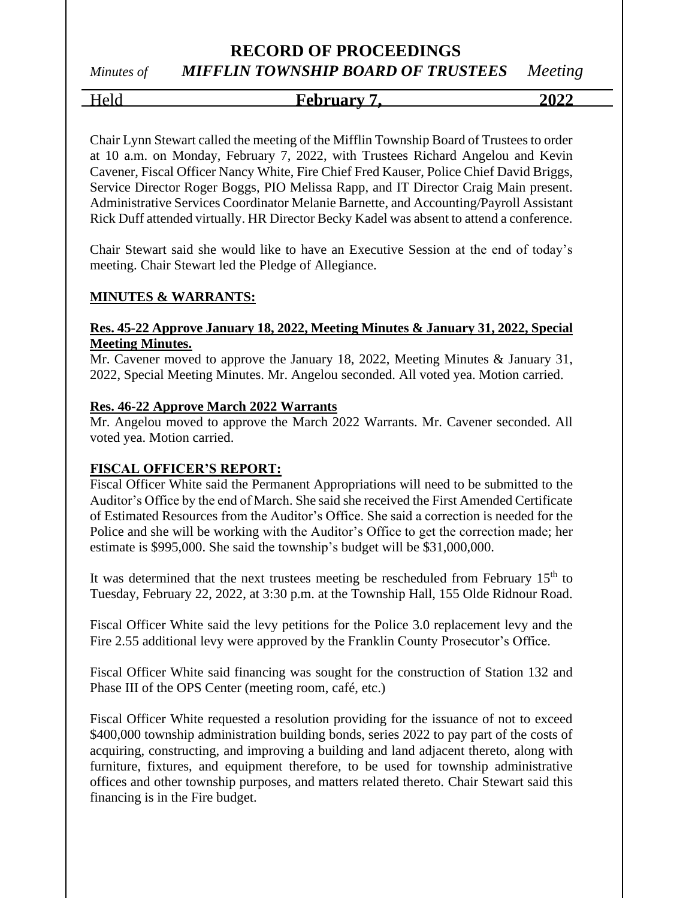## *Minutes of MIFFLIN TOWNSHIP BOARD OF TRUSTEES Meeting*

Held **February 7, 2022**

Chair Lynn Stewart called the meeting of the Mifflin Township Board of Trustees to order at 10 a.m. on Monday, February 7, 2022, with Trustees Richard Angelou and Kevin Cavener, Fiscal Officer Nancy White, Fire Chief Fred Kauser, Police Chief David Briggs, Service Director Roger Boggs, PIO Melissa Rapp, and IT Director Craig Main present. Administrative Services Coordinator Melanie Barnette, and Accounting/Payroll Assistant Rick Duff attended virtually. HR Director Becky Kadel was absent to attend a conference.

Chair Stewart said she would like to have an Executive Session at the end of today's meeting. Chair Stewart led the Pledge of Allegiance.

#### **MINUTES & WARRANTS:**

#### **Res. 45-22 Approve January 18, 2022, Meeting Minutes & January 31, 2022, Special Meeting Minutes.**

Mr. Cavener moved to approve the January 18, 2022, Meeting Minutes & January 31, 2022, Special Meeting Minutes. Mr. Angelou seconded. All voted yea. Motion carried.

#### **Res. 46-22 Approve March 2022 Warrants**

Mr. Angelou moved to approve the March 2022 Warrants. Mr. Cavener seconded. All voted yea. Motion carried.

#### **FISCAL OFFICER'S REPORT:**

Fiscal Officer White said the Permanent Appropriations will need to be submitted to the Auditor's Office by the end of March. She said she received the First Amended Certificate of Estimated Resources from the Auditor's Office. She said a correction is needed for the Police and she will be working with the Auditor's Office to get the correction made; her estimate is \$995,000. She said the township's budget will be \$31,000,000.

It was determined that the next trustees meeting be rescheduled from February  $15<sup>th</sup>$  to Tuesday, February 22, 2022, at 3:30 p.m. at the Township Hall, 155 Olde Ridnour Road.

Fiscal Officer White said the levy petitions for the Police 3.0 replacement levy and the Fire 2.55 additional levy were approved by the Franklin County Prosecutor's Office.

Fiscal Officer White said financing was sought for the construction of Station 132 and Phase III of the OPS Center (meeting room, café, etc.)

Fiscal Officer White requested a resolution providing for the issuance of not to exceed \$400,000 township administration building bonds, series 2022 to pay part of the costs of acquiring, constructing, and improving a building and land adjacent thereto, along with furniture, fixtures, and equipment therefore, to be used for township administrative offices and other township purposes, and matters related thereto. Chair Stewart said this financing is in the Fire budget.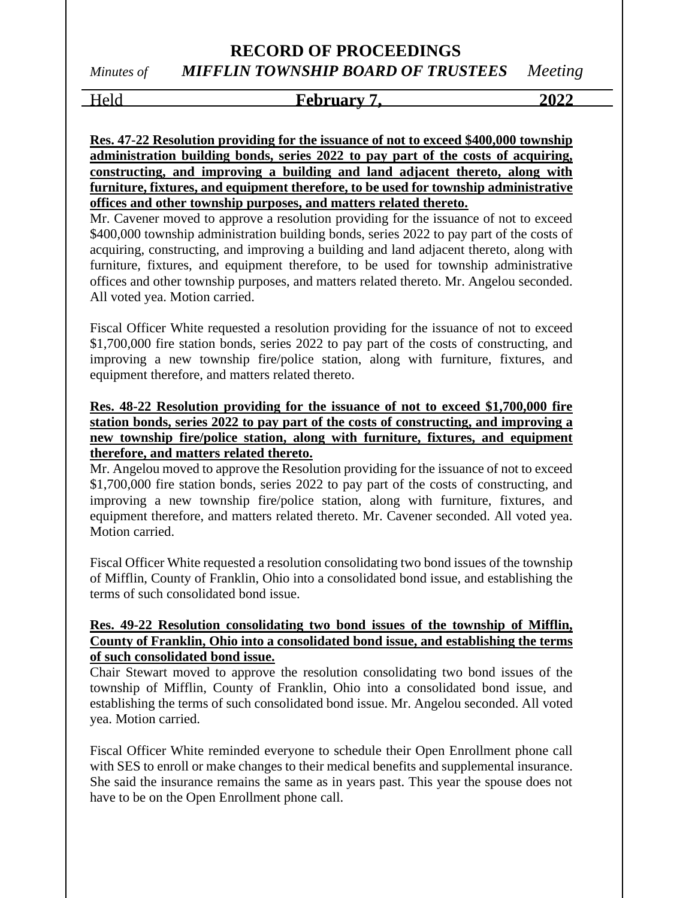### **RECORD OF PROCEEDINGS** *Minutes of MIFFLIN TOWNSHIP BOARD OF TRUSTEES Meeting*

#### Held **February 7, 2022**

**Res. 47-22 Resolution providing for the issuance of not to exceed \$400,000 township administration building bonds, series 2022 to pay part of the costs of acquiring, constructing, and improving a building and land adjacent thereto, along with furniture, fixtures, and equipment therefore, to be used for township administrative offices and other township purposes, and matters related thereto.**

Mr. Cavener moved to approve a resolution providing for the issuance of not to exceed \$400,000 township administration building bonds, series 2022 to pay part of the costs of acquiring, constructing, and improving a building and land adjacent thereto, along with furniture, fixtures, and equipment therefore, to be used for township administrative offices and other township purposes, and matters related thereto. Mr. Angelou seconded. All voted yea. Motion carried.

Fiscal Officer White requested a resolution providing for the issuance of not to exceed \$1,700,000 fire station bonds, series 2022 to pay part of the costs of constructing, and improving a new township fire/police station, along with furniture, fixtures, and equipment therefore, and matters related thereto.

#### **Res. 48-22 Resolution providing for the issuance of not to exceed \$1,700,000 fire station bonds, series 2022 to pay part of the costs of constructing, and improving a new township fire/police station, along with furniture, fixtures, and equipment therefore, and matters related thereto.**

Mr. Angelou moved to approve the Resolution providing for the issuance of not to exceed \$1,700,000 fire station bonds, series 2022 to pay part of the costs of constructing, and improving a new township fire/police station, along with furniture, fixtures, and equipment therefore, and matters related thereto. Mr. Cavener seconded. All voted yea. Motion carried.

Fiscal Officer White requested a resolution consolidating two bond issues of the township of Mifflin, County of Franklin, Ohio into a consolidated bond issue, and establishing the terms of such consolidated bond issue.

#### **Res. 49-22 Resolution consolidating two bond issues of the township of Mifflin, County of Franklin, Ohio into a consolidated bond issue, and establishing the terms of such consolidated bond issue.**

Chair Stewart moved to approve the resolution consolidating two bond issues of the township of Mifflin, County of Franklin, Ohio into a consolidated bond issue, and establishing the terms of such consolidated bond issue. Mr. Angelou seconded. All voted yea. Motion carried.

Fiscal Officer White reminded everyone to schedule their Open Enrollment phone call with SES to enroll or make changes to their medical benefits and supplemental insurance. She said the insurance remains the same as in years past. This year the spouse does not have to be on the Open Enrollment phone call.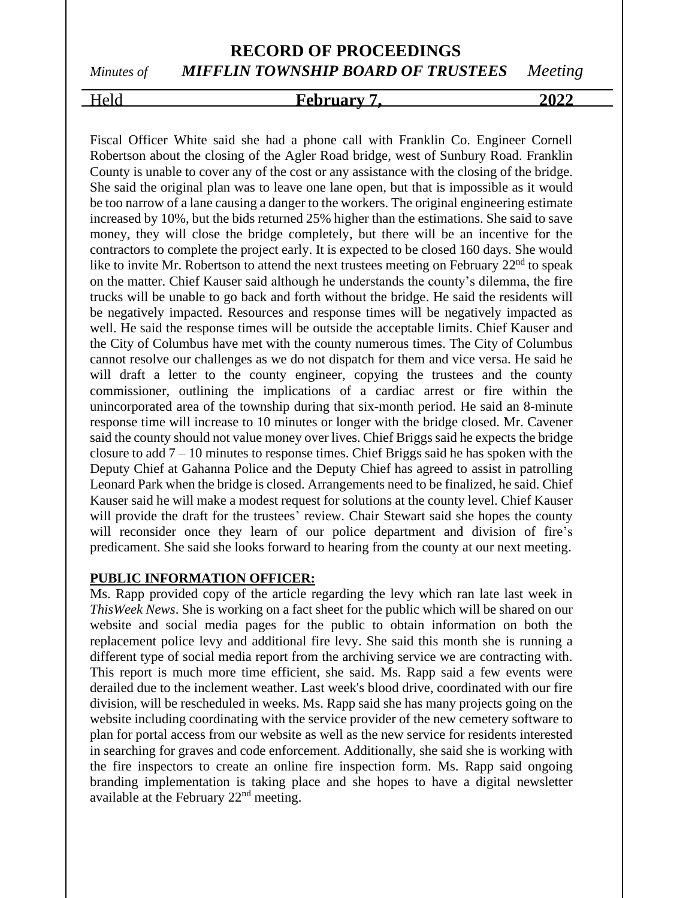# *Minutes of MIFFLIN TOWNSHIP BOARD OF TRUSTEES Meeting*

#### Held **February 7, 2022**

Fiscal Officer White said she had a phone call with Franklin Co. Engineer Cornell Robertson about the closing of the Agler Road bridge, west of Sunbury Road. Franklin County is unable to cover any of the cost or any assistance with the closing of the bridge. She said the original plan was to leave one lane open, but that is impossible as it would be too narrow of a lane causing a danger to the workers. The original engineering estimate increased by 10%, but the bids returned 25% higher than the estimations. She said to save money, they will close the bridge completely, but there will be an incentive for the contractors to complete the project early. It is expected to be closed 160 days. She would like to invite Mr. Robertson to attend the next trustees meeting on February  $22<sup>nd</sup>$  to speak on the matter. Chief Kauser said although he understands the county's dilemma, the fire trucks will be unable to go back and forth without the bridge. He said the residents will be negatively impacted. Resources and response times will be negatively impacted as well. He said the response times will be outside the acceptable limits. Chief Kauser and the City of Columbus have met with the county numerous times. The City of Columbus cannot resolve our challenges as we do not dispatch for them and vice versa. He said he will draft a letter to the county engineer, copying the trustees and the county commissioner, outlining the implications of a cardiac arrest or fire within the unincorporated area of the township during that six-month period. He said an 8-minute response time will increase to 10 minutes or longer with the bridge closed. Mr. Cavener said the county should not value money over lives. Chief Briggs said he expects the bridge closure to add  $7 - 10$  minutes to response times. Chief Briggs said he has spoken with the Deputy Chief at Gahanna Police and the Deputy Chief has agreed to assist in patrolling Leonard Park when the bridge is closed. Arrangements need to be finalized, he said. Chief Kauser said he will make a modest request for solutions at the county level. Chief Kauser will provide the draft for the trustees' review. Chair Stewart said she hopes the county will reconsider once they learn of our police department and division of fire's predicament. She said she looks forward to hearing from the county at our next meeting.

#### **PUBLIC INFORMATION OFFICER:**

Ms. Rapp provided copy of the article regarding the levy which ran late last week in *ThisWeek News*. She is working on a fact sheet for the public which will be shared on our website and social media pages for the public to obtain information on both the replacement police levy and additional fire levy. She said this month she is running a different type of social media report from the archiving service we are contracting with. This report is much more time efficient, she said. Ms. Rapp said a few events were derailed due to the inclement weather. Last week's blood drive, coordinated with our fire division, will be rescheduled in weeks. Ms. Rapp said she has many projects going on the website including coordinating with the service provider of the new cemetery software to plan for portal access from our website as well as the new service for residents interested in searching for graves and code enforcement. Additionally, she said she is working with the fire inspectors to create an online fire inspection form. Ms. Rapp said ongoing branding implementation is taking place and she hopes to have a digital newsletter available at the February 22nd meeting.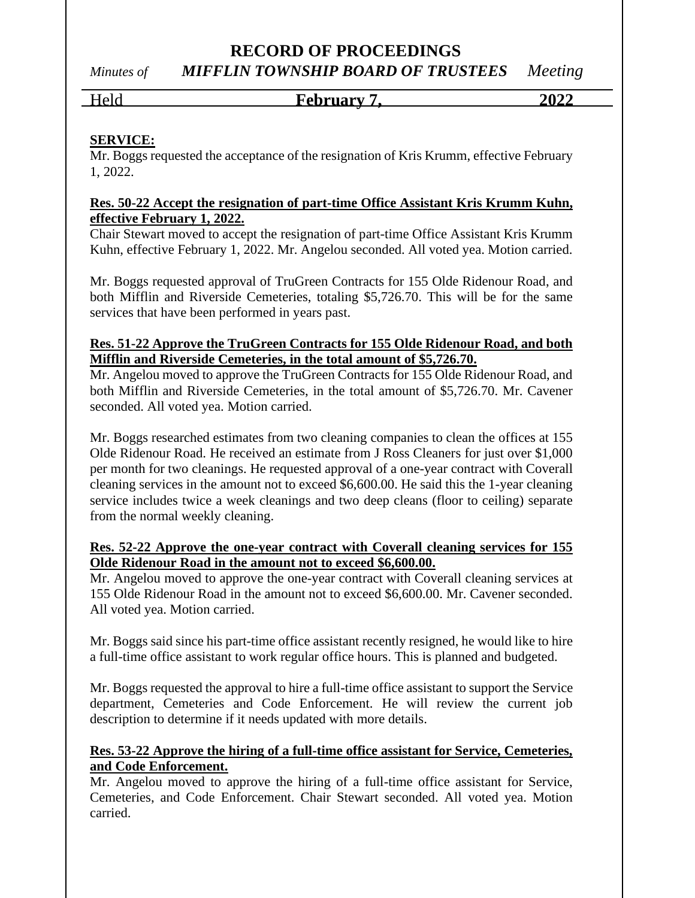*Minutes of MIFFLIN TOWNSHIP BOARD OF TRUSTEES Meeting*

#### Held **February 7, 2022**

### **SERVICE:**

Mr. Boggs requested the acceptance of the resignation of Kris Krumm, effective February 1, 2022.

#### **Res. 50-22 Accept the resignation of part-time Office Assistant Kris Krumm Kuhn, effective February 1, 2022.**

Chair Stewart moved to accept the resignation of part-time Office Assistant Kris Krumm Kuhn, effective February 1, 2022. Mr. Angelou seconded. All voted yea. Motion carried.

Mr. Boggs requested approval of TruGreen Contracts for 155 Olde Ridenour Road, and both Mifflin and Riverside Cemeteries, totaling \$5,726.70. This will be for the same services that have been performed in years past.

#### **Res. 51-22 Approve the TruGreen Contracts for 155 Olde Ridenour Road, and both Mifflin and Riverside Cemeteries, in the total amount of \$5,726.70.**

Mr. Angelou moved to approve the TruGreen Contracts for 155 Olde Ridenour Road, and both Mifflin and Riverside Cemeteries, in the total amount of \$5,726.70. Mr. Cavener seconded. All voted yea. Motion carried.

Mr. Boggs researched estimates from two cleaning companies to clean the offices at 155 Olde Ridenour Road. He received an estimate from J Ross Cleaners for just over \$1,000 per month for two cleanings. He requested approval of a one-year contract with Coverall cleaning services in the amount not to exceed \$6,600.00. He said this the 1-year cleaning service includes twice a week cleanings and two deep cleans (floor to ceiling) separate from the normal weekly cleaning.

#### **Res. 52-22 Approve the one-year contract with Coverall cleaning services for 155 Olde Ridenour Road in the amount not to exceed \$6,600.00.**

Mr. Angelou moved to approve the one-year contract with Coverall cleaning services at 155 Olde Ridenour Road in the amount not to exceed \$6,600.00. Mr. Cavener seconded. All voted yea. Motion carried.

Mr. Boggs said since his part-time office assistant recently resigned, he would like to hire a full-time office assistant to work regular office hours. This is planned and budgeted.

Mr. Boggs requested the approval to hire a full-time office assistant to support the Service department, Cemeteries and Code Enforcement. He will review the current job description to determine if it needs updated with more details.

#### **Res. 53-22 Approve the hiring of a full-time office assistant for Service, Cemeteries, and Code Enforcement.**

Mr. Angelou moved to approve the hiring of a full-time office assistant for Service, Cemeteries, and Code Enforcement. Chair Stewart seconded. All voted yea. Motion carried.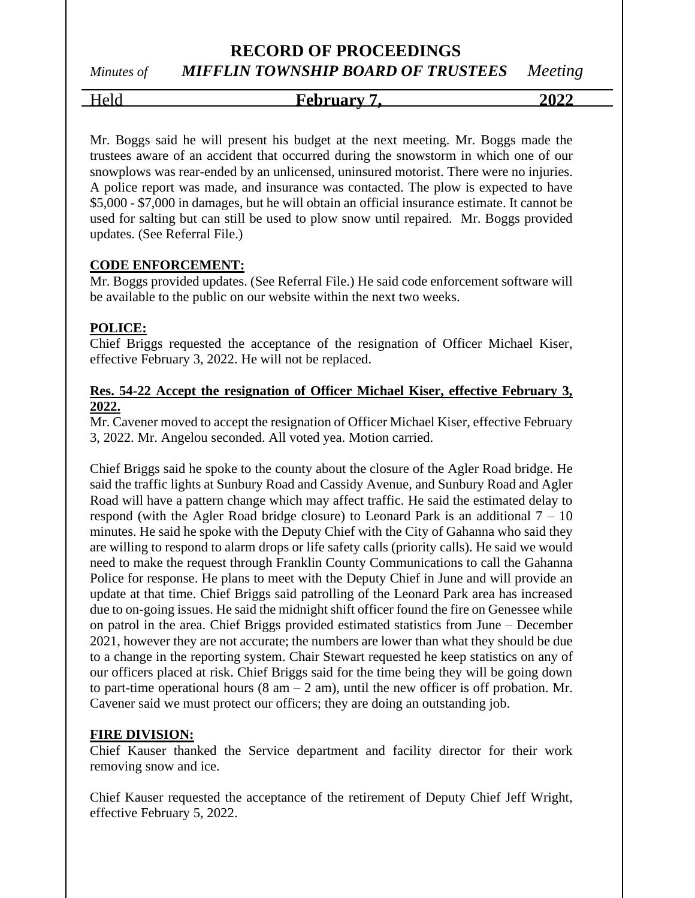# *Minutes of MIFFLIN TOWNSHIP BOARD OF TRUSTEES Meeting*

Held **February 7, 2022**

Mr. Boggs said he will present his budget at the next meeting. Mr. Boggs made the trustees aware of an accident that occurred during the snowstorm in which one of our snowplows was rear-ended by an unlicensed, uninsured motorist. There were no injuries. A police report was made, and insurance was contacted. The plow is expected to have \$5,000 - \$7,000 in damages, but he will obtain an official insurance estimate. It cannot be used for salting but can still be used to plow snow until repaired. Mr. Boggs provided updates. (See Referral File.)

#### **CODE ENFORCEMENT:**

Mr. Boggs provided updates. (See Referral File.) He said code enforcement software will be available to the public on our website within the next two weeks.

#### **POLICE:**

Chief Briggs requested the acceptance of the resignation of Officer Michael Kiser, effective February 3, 2022. He will not be replaced.

#### **Res. 54-22 Accept the resignation of Officer Michael Kiser, effective February 3, 2022.**

Mr. Cavener moved to accept the resignation of Officer Michael Kiser, effective February 3, 2022. Mr. Angelou seconded. All voted yea. Motion carried.

Chief Briggs said he spoke to the county about the closure of the Agler Road bridge. He said the traffic lights at Sunbury Road and Cassidy Avenue, and Sunbury Road and Agler Road will have a pattern change which may affect traffic. He said the estimated delay to respond (with the Agler Road bridge closure) to Leonard Park is an additional  $7 - 10$ minutes. He said he spoke with the Deputy Chief with the City of Gahanna who said they are willing to respond to alarm drops or life safety calls (priority calls). He said we would need to make the request through Franklin County Communications to call the Gahanna Police for response. He plans to meet with the Deputy Chief in June and will provide an update at that time. Chief Briggs said patrolling of the Leonard Park area has increased due to on-going issues. He said the midnight shift officer found the fire on Genessee while on patrol in the area. Chief Briggs provided estimated statistics from June – December 2021, however they are not accurate; the numbers are lower than what they should be due to a change in the reporting system. Chair Stewart requested he keep statistics on any of our officers placed at risk. Chief Briggs said for the time being they will be going down to part-time operational hours  $(8 \text{ am} - 2 \text{ am})$ , until the new officer is off probation. Mr. Cavener said we must protect our officers; they are doing an outstanding job.

#### **FIRE DIVISION:**

Chief Kauser thanked the Service department and facility director for their work removing snow and ice.

Chief Kauser requested the acceptance of the retirement of Deputy Chief Jeff Wright, effective February 5, 2022.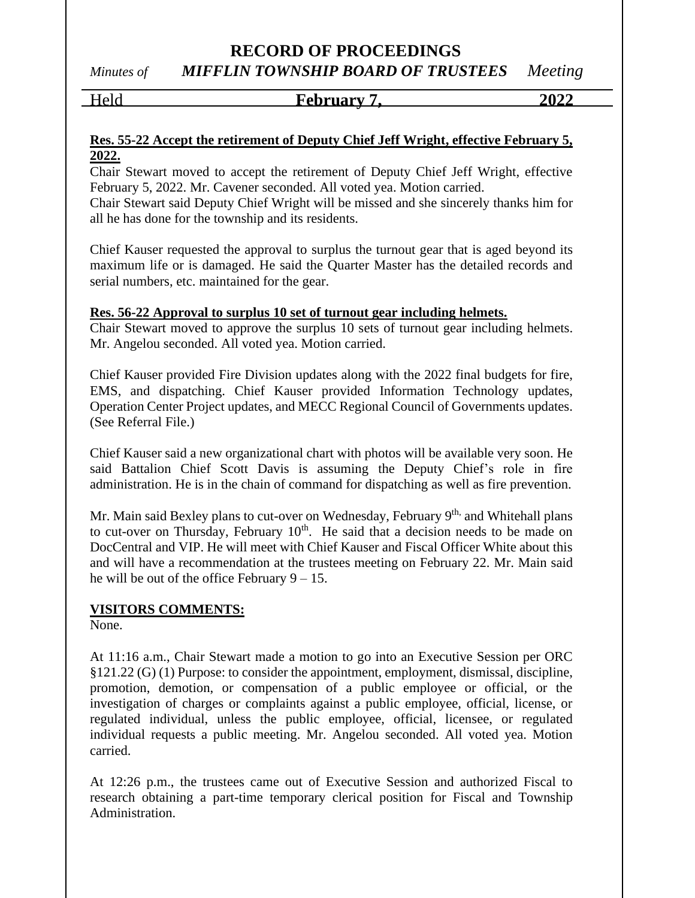*Minutes of MIFFLIN TOWNSHIP BOARD OF TRUSTEES Meeting*

#### Held **February 7, 2022**

#### **Res. 55-22 Accept the retirement of Deputy Chief Jeff Wright, effective February 5, 2022.**

Chair Stewart moved to accept the retirement of Deputy Chief Jeff Wright, effective February 5, 2022. Mr. Cavener seconded. All voted yea. Motion carried.

Chair Stewart said Deputy Chief Wright will be missed and she sincerely thanks him for all he has done for the township and its residents.

Chief Kauser requested the approval to surplus the turnout gear that is aged beyond its maximum life or is damaged. He said the Quarter Master has the detailed records and serial numbers, etc. maintained for the gear.

#### **Res. 56-22 Approval to surplus 10 set of turnout gear including helmets.**

Chair Stewart moved to approve the surplus 10 sets of turnout gear including helmets. Mr. Angelou seconded. All voted yea. Motion carried.

Chief Kauser provided Fire Division updates along with the 2022 final budgets for fire, EMS, and dispatching. Chief Kauser provided Information Technology updates, Operation Center Project updates, and MECC Regional Council of Governments updates. (See Referral File.)

Chief Kauser said a new organizational chart with photos will be available very soon. He said Battalion Chief Scott Davis is assuming the Deputy Chief's role in fire administration. He is in the chain of command for dispatching as well as fire prevention.

Mr. Main said Bexley plans to cut-over on Wednesday, February 9<sup>th,</sup> and Whitehall plans to cut-over on Thursday, February  $10<sup>th</sup>$ . He said that a decision needs to be made on DocCentral and VIP. He will meet with Chief Kauser and Fiscal Officer White about this and will have a recommendation at the trustees meeting on February 22. Mr. Main said he will be out of the office February  $9 - 15$ .

#### **VISITORS COMMENTS:**

None.

At 11:16 a.m., Chair Stewart made a motion to go into an Executive Session per ORC §121.22 (G) (1) Purpose: to consider the appointment, employment, dismissal, discipline, promotion, demotion, or compensation of a public employee or official, or the investigation of charges or complaints against a public employee, official, license, or regulated individual, unless the public employee, official, licensee, or regulated individual requests a public meeting. Mr. Angelou seconded. All voted yea. Motion carried.

At 12:26 p.m., the trustees came out of Executive Session and authorized Fiscal to research obtaining a part-time temporary clerical position for Fiscal and Township Administration.